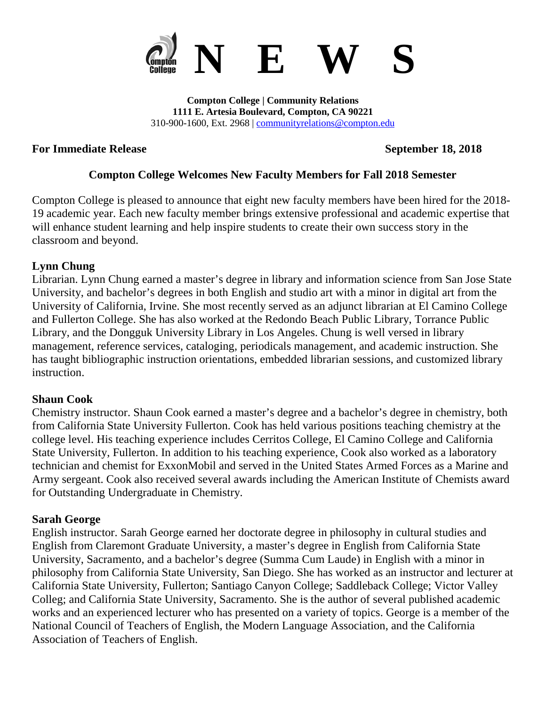

**Compton College | Community Relations 1111 E. Artesia Boulevard, Compton, CA 90221** 310-900-1600, Ext. 2968 | [communityrelations@compton.edu](mailto:communityrelations@compton.edu)

#### **For Immediate Release September 18, 2018**

#### **Compton College Welcomes New Faculty Members for Fall 2018 Semester**

Compton College is pleased to announce that eight new faculty members have been hired for the 2018- 19 academic year. Each new faculty member brings extensive professional and academic expertise that will enhance student learning and help inspire students to create their own success story in the classroom and beyond.

#### **Lynn Chung**

Librarian. Lynn Chung earned a master's degree in library and information science from San Jose State University, and bachelor's degrees in both English and studio art with a minor in digital art from the University of California, Irvine. She most recently served as an adjunct librarian at El Camino College and Fullerton College. She has also worked at the Redondo Beach Public Library, Torrance Public Library, and the Dongguk University Library in Los Angeles. Chung is well versed in library management, reference services, cataloging, periodicals management, and academic instruction. She has taught bibliographic instruction orientations, embedded librarian sessions, and customized library instruction.

#### **Shaun Cook**

Chemistry instructor. Shaun Cook earned a master's degree and a bachelor's degree in chemistry, both from California State University Fullerton. Cook has held various positions teaching chemistry at the college level. His teaching experience includes Cerritos College, El Camino College and California State University, Fullerton. In addition to his teaching experience, Cook also worked as a laboratory technician and chemist for ExxonMobil and served in the United States Armed Forces as a Marine and Army sergeant. Cook also received several awards including the American Institute of Chemists award for Outstanding Undergraduate in Chemistry.

#### **Sarah George**

English instructor. Sarah George earned her doctorate degree in philosophy in cultural studies and English from Claremont Graduate University, a master's degree in English from California State University, Sacramento, and a bachelor's degree (Summa Cum Laude) in English with a minor in philosophy from California State University, San Diego. She has worked as an instructor and lecturer at California State University, Fullerton; Santiago Canyon College; Saddleback College; Victor Valley Colleg; and California State University, Sacramento. She is the author of several published academic works and an experienced lecturer who has presented on a variety of topics. George is a member of the National Council of Teachers of English, the Modern Language Association, and the California Association of Teachers of English.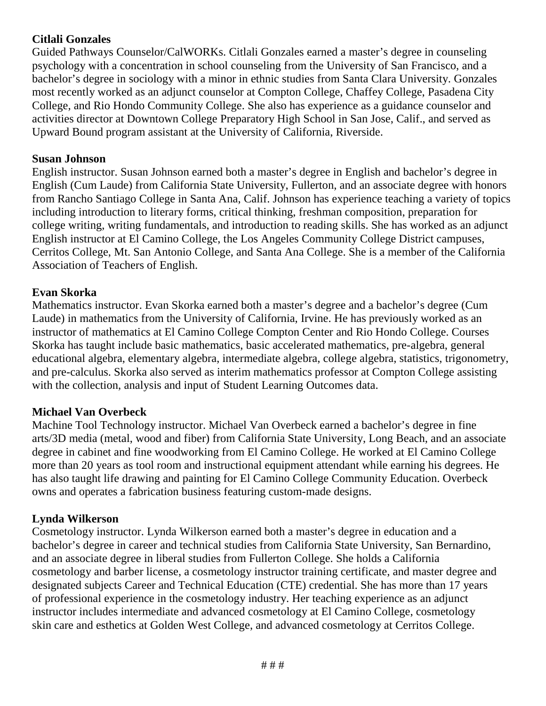# **Citlali Gonzales**

Guided Pathways Counselor/CalWORKs. Citlali Gonzales earned a master's degree in counseling psychology with a concentration in school counseling from the University of San Francisco, and a bachelor's degree in sociology with a minor in ethnic studies from Santa Clara University. Gonzales most recently worked as an adjunct counselor at Compton College, Chaffey College, Pasadena City College, and Rio Hondo Community College. She also has experience as a guidance counselor and activities director at Downtown College Preparatory High School in San Jose, Calif., and served as Upward Bound program assistant at the University of California, Riverside.

## **Susan Johnson**

English instructor. Susan Johnson earned both a master's degree in English and bachelor's degree in English (Cum Laude) from California State University, Fullerton, and an associate degree with honors from Rancho Santiago College in Santa Ana, Calif. Johnson has experience teaching a variety of topics including introduction to literary forms, critical thinking, freshman composition, preparation for college writing, writing fundamentals, and introduction to reading skills. She has worked as an adjunct English instructor at El Camino College, the Los Angeles Community College District campuses, Cerritos College, Mt. San Antonio College, and Santa Ana College. She is a member of the California Association of Teachers of English.

## **Evan Skorka**

Mathematics instructor. Evan Skorka earned both a master's degree and a bachelor's degree (Cum Laude) in mathematics from the University of California, Irvine. He has previously worked as an instructor of mathematics at El Camino College Compton Center and Rio Hondo College. Courses Skorka has taught include basic mathematics, basic accelerated mathematics, pre-algebra, general educational algebra, elementary algebra, intermediate algebra, college algebra, statistics, trigonometry, and pre-calculus. Skorka also served as interim mathematics professor at Compton College assisting with the collection, analysis and input of Student Learning Outcomes data.

# **Michael Van Overbeck**

Machine Tool Technology instructor. Michael Van Overbeck earned a bachelor's degree in fine arts/3D media (metal, wood and fiber) from California State University, Long Beach, and an associate degree in cabinet and fine woodworking from El Camino College. He worked at El Camino College more than 20 years as tool room and instructional equipment attendant while earning his degrees. He has also taught life drawing and painting for El Camino College Community Education. Overbeck owns and operates a fabrication business featuring custom-made designs.

#### **Lynda Wilkerson**

Cosmetology instructor. Lynda Wilkerson earned both a master's degree in education and a bachelor's degree in career and technical studies from California State University, San Bernardino, and an associate degree in liberal studies from Fullerton College. She holds a California cosmetology and barber license, a cosmetology instructor training certificate, and master degree and designated subjects Career and Technical Education (CTE) credential. She has more than 17 years of professional experience in the cosmetology industry. Her teaching experience as an adjunct instructor includes intermediate and advanced cosmetology at El Camino College, cosmetology skin care and esthetics at Golden West College, and advanced cosmetology at Cerritos College.